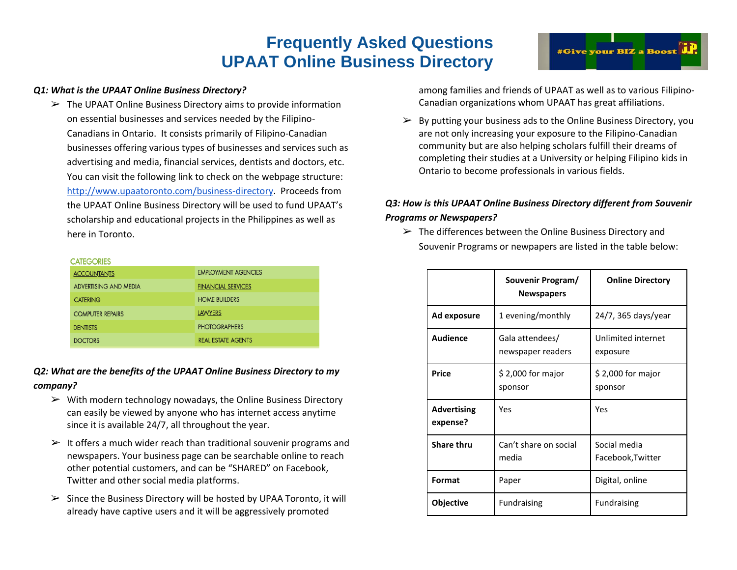# **Frequently Asked Questions UPAAT Online Business Directory**

 $\triangleright$  The UPAAT Online Business Directory aims to provide information on essential businesses and services needed by the Filipino-Canadians in Ontario. It consists primarily of Filipino-Canadian businesses offering various types of businesses and services such as advertising and media, financial services, dentists and doctors, etc. You can visit the following link to check on the webpage structure: [http://www.upaatoronto.com/business-directory.](http://www.upaatoronto.com/business-directory) Proceeds from the UPAAT Online Business Directory will be used to fund UPAAT's scholarship and educational projects in the Philippines as well as here in Toronto.

#### **CATEGORIES**

| <b>ACCOUNTANTS</b>      | <b>EMPLOYMENT AGENCIES</b> |  |
|-------------------------|----------------------------|--|
| ADVERTISING AND MEDIA   | <b>FINANCIAL SERVICES</b>  |  |
| <b>CATERING</b>         | <b>HOME BUILDERS</b>       |  |
| <b>COMPUTER REPAIRS</b> | <b>LAWYERS</b>             |  |
| <b>DENTISTS</b>         | <b>PHOTOGRAPHERS</b>       |  |
| <b>DOCTORS</b>          | <b>REAL ESTATE AGENTS</b>  |  |

### *Q2: What are the benefits of the UPAAT Online Business Directory to my company?*

- $\triangleright$  With modern technology nowadays, the Online Business Directory can easily be viewed by anyone who has internet access anytime since it is available 24/7, all throughout the year.
- $\triangleright$  It offers a much wider reach than traditional souvenir programs and newspapers. Your business page can be searchable online to reach other potential customers, and can be "SHARED" on Facebook, Twitter and other social media platforms.
- $\triangleright$  Since the Business Directory will be hosted by UPAA Toronto, it will already have captive users and it will be aggressively promoted

among families and friends of UPAAT as well as to various Filipino-Canadian organizations whom UPAAT has great affiliations.

 $\triangleright$  By putting your business ads to the Online Business Directory, you are not only increasing your exposure to the Filipino-Canadian community but are also helping scholars fulfill their dreams of completing their studies at a University or helping Filipino kids in Ontario to become professionals in various fields.

### *Q3: How is this UPAAT Online Business Directory different from Souvenir Programs or Newspapers?*

 $\triangleright$  The differences between the Online Business Directory and Souvenir Programs or newpapers are listed in the table below:

|                                | Souvenir Program/<br><b>Newspapers</b> | <b>Online Directory</b>           |
|--------------------------------|----------------------------------------|-----------------------------------|
| Ad exposure                    | 1 evening/monthly                      | 24/7, 365 days/year               |
| <b>Audience</b>                | Gala attendees/<br>newspaper readers   | Unlimited internet<br>exposure    |
| <b>Price</b>                   | \$2,000 for major<br>sponsor           | $$2,000$ for major<br>sponsor     |
| <b>Advertising</b><br>expense? | Yes                                    | Yes                               |
| <b>Share thru</b>              | Can't share on social<br>media         | Social media<br>Facebook, Twitter |
| Format                         | Paper                                  | Digital, online                   |
| <b>Objective</b>               | <b>Fundraising</b>                     | <b>Fundraising</b>                |